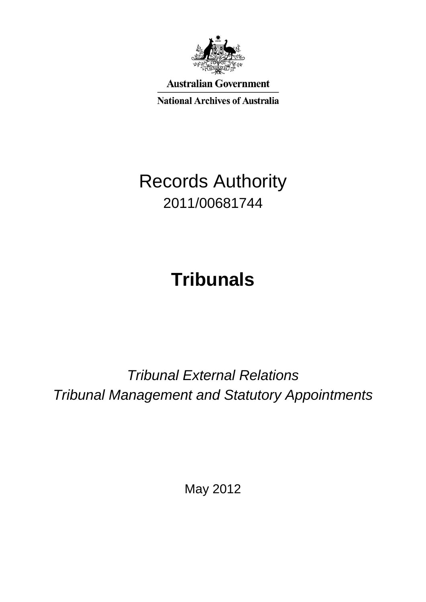

**Australian Government** 

**National Archives of Australia** 

# Records Authority 2011/00681744

# **Tribunals**

*Tribunal External Relations Tribunal Management and Statutory Appointments*

May 2012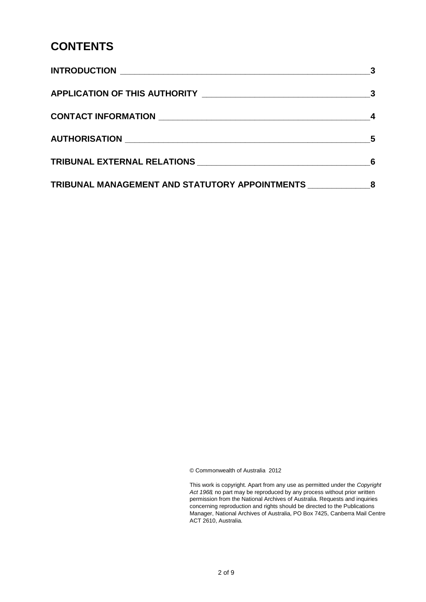#### **CONTENTS**

|                                                  | 5 |
|--------------------------------------------------|---|
|                                                  |   |
| TRIBUNAL MANAGEMENT AND STATUTORY APPOINTMENTS 8 |   |

© Commonwealth of Australia 2012

This work is copyright. Apart from any use as permitted under the *Copyright Act 1968,* no part may be reproduced by any process without prior written permission from the National Archives of Australia. Requests and inquiries concerning reproduction and rights should be directed to the Publications Manager, National Archives of Australia, PO Box 7425, Canberra Mail Centre ACT 2610, Australia.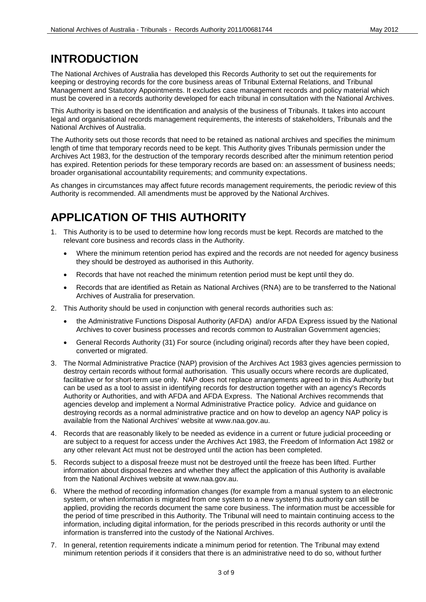#### **INTRODUCTION**

The National Archives of Australia has developed this Records Authority to set out the requirements for keeping or destroying records for the core business areas of Tribunal External Relations, and Tribunal Management and Statutory Appointments. It excludes case management records and policy material which must be covered in a records authority developed for each tribunal in consultation with the National Archives.

This Authority is based on the identification and analysis of the business of Tribunals. It takes into account legal and organisational records management requirements, the interests of stakeholders, Tribunals and the National Archives of Australia.

The Authority sets out those records that need to be retained as national archives and specifies the minimum length of time that temporary records need to be kept. This Authority gives Tribunals permission under the Archives Act 1983, for the destruction of the temporary records described after the minimum retention period has expired. Retention periods for these temporary records are based on: an assessment of business needs; broader organisational accountability requirements; and community expectations.

As changes in circumstances may affect future records management requirements, the periodic review of this Authority is recommended. All amendments must be approved by the National Archives.

## **APPLICATION OF THIS AUTHORITY**

- 1. This Authority is to be used to determine how long records must be kept. Records are matched to the relevant core business and records class in the Authority.
	- Where the minimum retention period has expired and the records are not needed for agency business they should be destroyed as authorised in this Authority.
	- Records that have not reached the minimum retention period must be kept until they do.
	- Records that are identified as Retain as National Archives (RNA) are to be transferred to the National Archives of Australia for preservation.
- 2. This Authority should be used in conjunction with general records authorities such as:
	- the Administrative Functions Disposal Authority (AFDA) and/or AFDA Express issued by the National Archives to cover business processes and records common to Australian Government agencies;
	- General Records Authority (31) For source (including original) records after they have been copied, converted or migrated.
- 3. The Normal Administrative Practice (NAP) provision of the Archives Act 1983 gives agencies permission to destroy certain records without formal authorisation. This usually occurs where records are duplicated, facilitative or for short-term use only. NAP does not replace arrangements agreed to in this Authority but can be used as a tool to assist in identifying records for destruction together with an agency's Records Authority or Authorities, and with AFDA and AFDA Express. The National Archives recommends that agencies develop and implement a Normal Administrative Practice policy. Advice and guidance on destroying records as a normal administrative practice and on how to develop an agency NAP policy is available from the National Archives' website at www.naa.gov.au.
- 4. Records that are reasonably likely to be needed as evidence in a current or future judicial proceeding or are subject to a request for access under the Archives Act 1983, the Freedom of Information Act 1982 or any other relevant Act must not be destroyed until the action has been completed.
- 5. Records subject to a disposal freeze must not be destroyed until the freeze has been lifted. Further information about disposal freezes and whether they affect the application of this Authority is available from the National Archives website at www.naa.gov.au.
- 6. Where the method of recording information changes (for example from a manual system to an electronic system, or when information is migrated from one system to a new system) this authority can still be applied, providing the records document the same core business. The information must be accessible for the period of time prescribed in this Authority. The Tribunal will need to maintain continuing access to the information, including digital information, for the periods prescribed in this records authority or until the information is transferred into the custody of the National Archives.
- 7. In general, retention requirements indicate a minimum period for retention. The Tribunal may extend minimum retention periods if it considers that there is an administrative need to do so, without further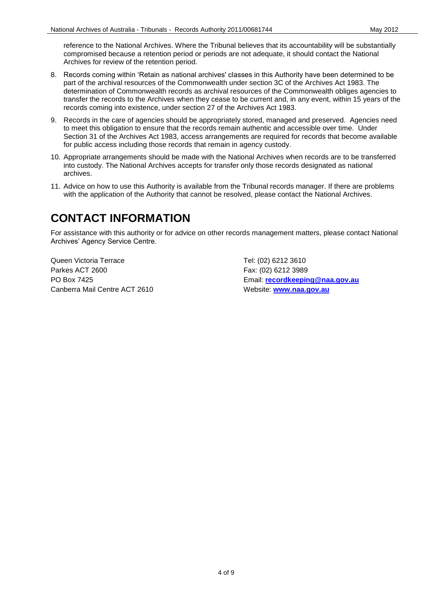reference to the National Archives. Where the Tribunal believes that its accountability will be substantially compromised because a retention period or periods are not adequate, it should contact the National Archives for review of the retention period.

- 8. Records coming within 'Retain as national archives' classes in this Authority have been determined to be part of the archival resources of the Commonwealth under section 3C of the Archives Act 1983. The determination of Commonwealth records as archival resources of the Commonwealth obliges agencies to transfer the records to the Archives when they cease to be current and, in any event, within 15 years of the records coming into existence, under section 27 of the Archives Act 1983.
- 9. Records in the care of agencies should be appropriately stored, managed and preserved. Agencies need to meet this obligation to ensure that the records remain authentic and accessible over time. Under Section 31 of the Archives Act 1983, access arrangements are required for records that become available for public access including those records that remain in agency custody.
- 10. Appropriate arrangements should be made with the National Archives when records are to be transferred into custody. The National Archives accepts for transfer only those records designated as national archives.
- 11. Advice on how to use this Authority is available from the Tribunal records manager. If there are problems with the application of the Authority that cannot be resolved, please contact the National Archives.

#### **CONTACT INFORMATION**

For assistance with this authority or for advice on other records management matters, please contact National Archives' Agency Service Centre.

Queen Victoria Terrace Tel: (02) 6212 3610 Parkes ACT 2600 Fax: (02) 6212 3989 Canberra Mail Centre ACT 2610 Website: **[www.naa.gov.au](http://www.naa.gov.au/)**

PO Box 7425 Email: **[recordkeeping@naa.gov.au](mailto:recordkeeping@naa.gov.au)**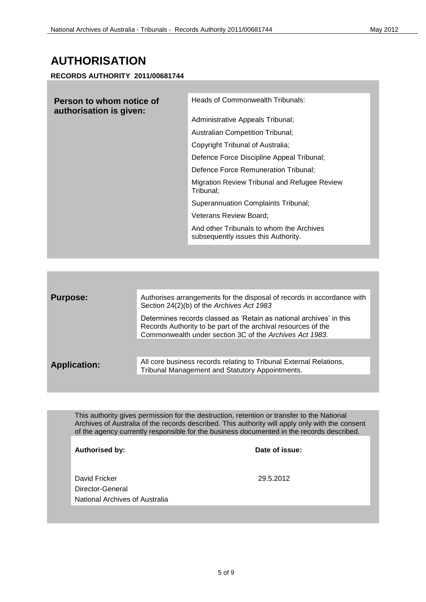#### **AUTHORISATION**

**RECORDS AUTHORITY 2011/00681744**

| Person to whom notice of<br>authorisation is given: | Heads of Commonwealth Tribunals:                                                |
|-----------------------------------------------------|---------------------------------------------------------------------------------|
|                                                     | Administrative Appeals Tribunal;                                                |
|                                                     | Australian Competition Tribunal;                                                |
|                                                     | Copyright Tribunal of Australia;                                                |
|                                                     | Defence Force Discipline Appeal Tribunal;                                       |
|                                                     | Defence Force Remuneration Tribunal:                                            |
|                                                     | Migration Review Tribunal and Refugee Review<br>Tribunal:                       |
|                                                     | <b>Superannuation Complaints Tribunal;</b>                                      |
|                                                     | Veterans Review Board;                                                          |
|                                                     | And other Tribunals to whom the Archives<br>subsequently issues this Authority. |

| <b>Purpose:</b>     | Authorises arrangements for the disposal of records in accordance with<br>Section 24(2)(b) of the Archives Act 1983                                                                             |
|---------------------|-------------------------------------------------------------------------------------------------------------------------------------------------------------------------------------------------|
|                     | Determines records classed as 'Retain as national archives' in this<br>Records Authority to be part of the archival resources of the<br>Commonwealth under section 3C of the Archives Act 1983. |
|                     |                                                                                                                                                                                                 |
| <b>Application:</b> | All core business records relating to Tribunal External Relations,<br>Tribunal Management and Statutory Appointments.                                                                           |

This authority gives permission for the destruction, retention or transfer to the National Archives of Australia of the records described. This authority will apply only with the consent of the agency currently responsible for the business documented in the records described.

| Authorised by:                                                      | Date of issue: |
|---------------------------------------------------------------------|----------------|
| David Fricker<br>Director-General<br>National Archives of Australia | 29.5.2012      |
|                                                                     |                |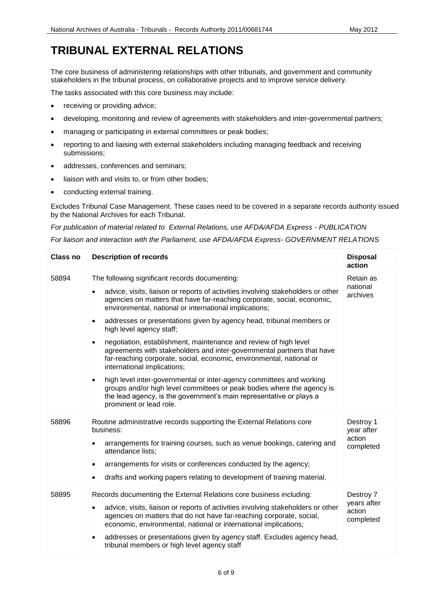# **TRIBUNAL EXTERNAL RELATIONS**

The core business of administering relationships with other tribunals, and government and community stakeholders in the tribunal process, on collaborative projects and to improve service delivery.

The tasks associated with this core business may include:

- receiving or providing advice;
- developing, monitoring and review of agreements with stakeholders and inter-governmental partners;
- managing or participating in external committees or peak bodies;
- reporting to and liaising with external stakeholders including managing feedback and receiving submissions;
- addresses, conferences and seminars;
- liaison with and visits to, or from other bodies;
- conducting external training.

Excludes Tribunal Case Management. These cases need to be covered in a separate records authority issued by the National Archives for each Tribunal.

*For publication of material related to External Relations, use AFDA/AFDA Express - PUBLICATION*

*For liaison and interaction with the Parliament, use AFDA/AFDA Express- GOVERNMENT RELATIONS*

| <b>Class no</b> | <b>Description of records</b>                                                                                                                                                                                                                                 | <b>Disposal</b><br>action          |
|-----------------|---------------------------------------------------------------------------------------------------------------------------------------------------------------------------------------------------------------------------------------------------------------|------------------------------------|
| 58894           | The following significant records documenting:                                                                                                                                                                                                                | Retain as                          |
|                 | advice, visits, liaison or reports of activities involving stakeholders or other<br>$\bullet$<br>agencies on matters that have far-reaching corporate, social, economic,<br>environmental, national or international implications;                            | national<br>archives               |
|                 | addresses or presentations given by agency head, tribunal members or<br>$\bullet$<br>high level agency staff;                                                                                                                                                 |                                    |
|                 | negotiation, establishment, maintenance and review of high level<br>agreements with stakeholders and inter-governmental partners that have<br>far-reaching corporate, social, economic, environmental, national or<br>international implications;             |                                    |
|                 | high level inter-governmental or inter-agency committees and working<br>$\bullet$<br>groups and/or high level committees or peak bodies where the agency is<br>the lead agency, is the government's main representative or plays a<br>prominent or lead role. |                                    |
| 58896           | Routine administrative records supporting the External Relations core<br>business:                                                                                                                                                                            | Destroy 1<br>year after            |
|                 | arrangements for training courses, such as venue bookings, catering and<br>attendance lists;                                                                                                                                                                  | action<br>completed                |
|                 | arrangements for visits or conferences conducted by the agency;<br>٠                                                                                                                                                                                          |                                    |
|                 | drafts and working papers relating to development of training material.<br>$\bullet$                                                                                                                                                                          |                                    |
| 58895           | Records documenting the External Relations core business including:                                                                                                                                                                                           | Destroy 7                          |
|                 | advice, visits, liaison or reports of activities involving stakeholders or other<br>agencies on matters that do not have far-reaching corporate, social,<br>economic, environmental, national or international implications;                                  | years after<br>action<br>completed |
|                 | addresses or presentations given by agency staff. Excludes agency head,<br>tribunal members or high level agency staff                                                                                                                                        |                                    |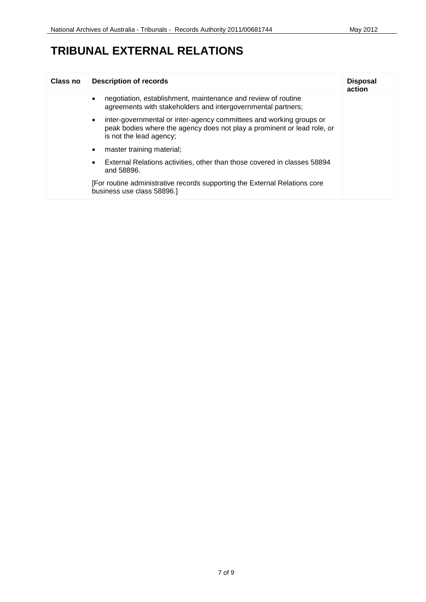### **TRIBUNAL EXTERNAL RELATIONS**

| <b>Class no</b> | <b>Description of records</b>                                                                                                                                                          | <b>Disposal</b><br>action |
|-----------------|----------------------------------------------------------------------------------------------------------------------------------------------------------------------------------------|---------------------------|
|                 | negotiation, establishment, maintenance and review of routine<br>$\bullet$<br>agreements with stakeholders and intergovernmental partners;                                             |                           |
|                 | inter-governmental or inter-agency committees and working groups or<br>$\bullet$<br>peak bodies where the agency does not play a prominent or lead role, or<br>is not the lead agency; |                           |
|                 | master training material;<br>$\bullet$                                                                                                                                                 |                           |
|                 | External Relations activities, other than those covered in classes 58894<br>and 58896.                                                                                                 |                           |
|                 | [For routine administrative records supporting the External Relations core<br>business use class 58896.]                                                                               |                           |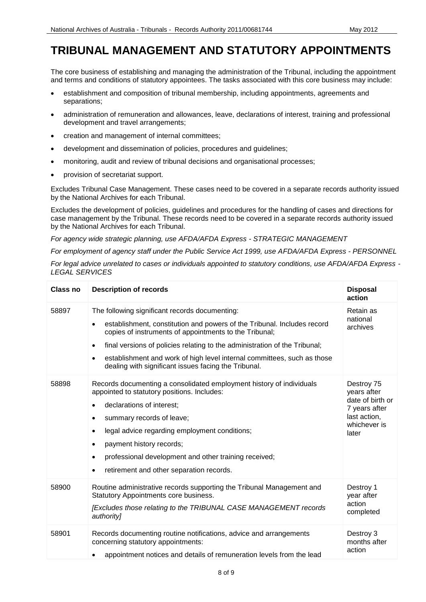#### **TRIBUNAL MANAGEMENT AND STATUTORY APPOINTMENTS**

The core business of establishing and managing the administration of the Tribunal, including the appointment and terms and conditions of statutory appointees. The tasks associated with this core business may include:

- establishment and composition of tribunal membership, including appointments, agreements and separations;
- administration of remuneration and allowances, leave, declarations of interest, training and professional development and travel arrangements;
- creation and management of internal committees;
- development and dissemination of policies, procedures and guidelines;
- monitoring, audit and review of tribunal decisions and organisational processes;
- provision of secretariat support.

Excludes Tribunal Case Management. These cases need to be covered in a separate records authority issued by the National Archives for each Tribunal.

Excludes the development of policies, guidelines and procedures for the handling of cases and directions for case management by the Tribunal. These records need to be covered in a separate records authority issued by the National Archives for each Tribunal.

*For agency wide strategic planning, use AFDA/AFDA Express - STRATEGIC MANAGEMENT*

*For employment of agency staff under the Public Service Act 1999, use AFDA/AFDA Express - PERSONNEL*

| Class no | <b>Description of records</b>                                                                                                                                                                                                                                                                                                                                                                        | <b>Disposal</b><br>action                                                                               |
|----------|------------------------------------------------------------------------------------------------------------------------------------------------------------------------------------------------------------------------------------------------------------------------------------------------------------------------------------------------------------------------------------------------------|---------------------------------------------------------------------------------------------------------|
| 58897    | The following significant records documenting:<br>establishment, constitution and powers of the Tribunal. Includes record<br>copies of instruments of appointments to the Tribunal;<br>final versions of policies relating to the administration of the Tribunal;<br>establishment and work of high level internal committees, such as those<br>dealing with significant issues facing the Tribunal. | Retain as<br>national<br>archives                                                                       |
| 58898    | Records documenting a consolidated employment history of individuals<br>appointed to statutory positions. Includes:<br>declarations of interest;<br>summary records of leave;<br>legal advice regarding employment conditions;<br>payment history records;<br>professional development and other training received;<br>retirement and other separation records.                                      | Destroy 75<br>years after<br>date of birth or<br>7 years after<br>last action,<br>whichever is<br>later |
| 58900    | Routine administrative records supporting the Tribunal Management and<br>Statutory Appointments core business.<br>[Excludes those relating to the TRIBUNAL CASE MANAGEMENT records<br>authority]                                                                                                                                                                                                     | Destroy 1<br>year after<br>action<br>completed                                                          |
| 58901    | Records documenting routine notifications, advice and arrangements<br>concerning statutory appointments:<br>appointment notices and details of remuneration levels from the lead                                                                                                                                                                                                                     | Destroy 3<br>months after<br>action                                                                     |

*For legal advice unrelated to cases or individuals appointed to statutory conditions, use AFDA/AFDA Express - LEGAL SERVICES*